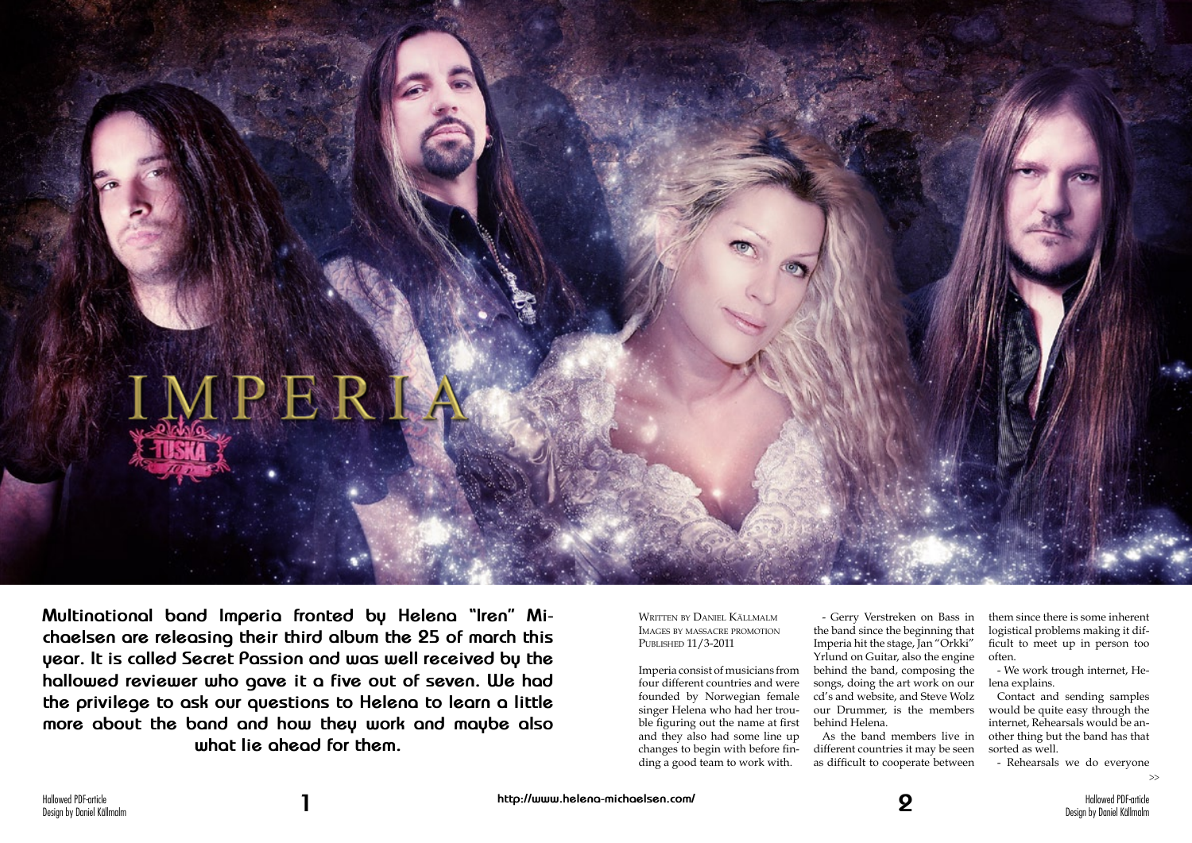Hallowed PDF-article Design by Daniel Källmalm



**Multinational band Imperia fronted by Helena "Iren" Michaelsen are releasing their third album the 25 of march this year. It is called Secret Passion and was well received by the hallowed reviewer who gave it a five out of seven. We had the privilege to ask our questions to Helena to learn a little more about the band and how they work and maybe also what lie ahead for them.**

Written by Daniel Källmalm Images by massacre promotion Published 11/3-2011

Imperia consist of musicians from four different countries and were founded by Norwegian female singer Helena who had her trouble figuring out the name at first and they also had some line up changes to begin with before finding a good team to work with.

- Gerry Verstreken on Bass in the band since the beginning that Imperia hit the stage, Jan "Orkki" Yrlund on Guitar, also the engine behind the band, composing the songs, doing the art work on our cd's and website, and Steve Wolz our Drummer, is the members behind Helena.

As the band members live in different countries it may be seen as difficult to cooperate between

them since there is some inherent logistical problems making it difficult to meet up in person too often.

- We work trough internet, Helena explains.

Contact and sending samples would be quite easy through the internet, Rehearsals would be another thing but the band has that sorted as well.

- Rehearsals we do everyone

>>

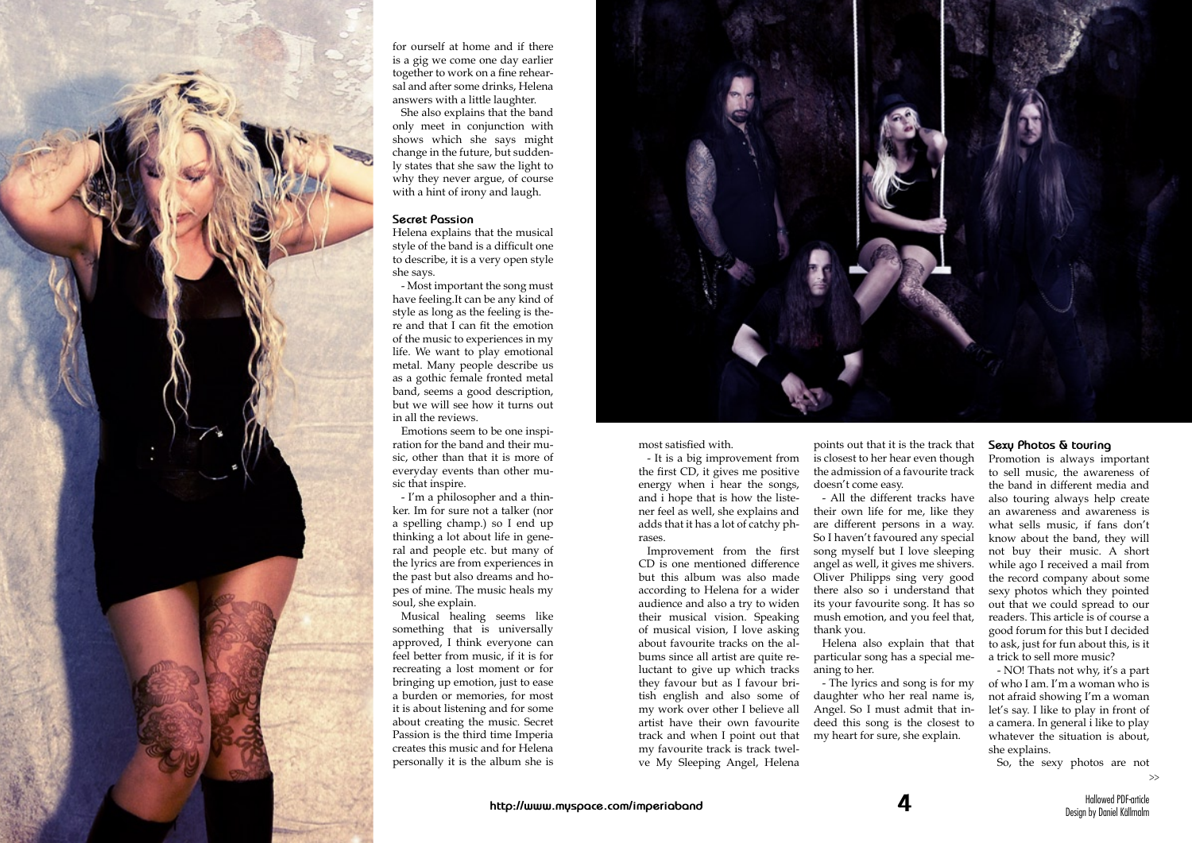

 $\sim$ 



for ourself at home and if there is a gig we come one day earlier together to work on a fine rehear sal and after some drinks, Helena answers with a little laughter.

She also explains that the band only meet in conjunction with shows which she says might change in the future, but sudden ly states that she saw the light to why they never argue, of course with a hint of irony and laugh.

## **Secret Passion**

Helena explains that the musical style of the band is a difficult one to describe, it is a very open style she says.

- Most important the song must have feeling.It can be any kind of style as long as the feeling is the re and that I can fit the emotion of the music to experiences in my life. We want to play emotional metal. Many people describe us as a gothic female fronted metal band, seems a good description, but we will see how it turns out in all the reviews.

Emotions seem to be one inspi ration for the band and their mu sic, other than that it is more of everyday events than other mu sic that inspire.

- I'm a philosopher and a thin ker. Im for sure not a talker (nor a spelling champ.) so I end up thinking a lot about life in gene ral and people etc. but many of the lyrics are from experiences in the past but also dreams and ho pes of mine. The music heals my soul, she explain.

Musical healing seems like something that is universally approved, I think everyone can feel better from music, if it is for recreating a lost moment or for bringing up emotion, just to ease a burden or memories, for most it is about listening and for some about creating the music. Secret Passion is the third time Imperia creates this music and for Helena personally it is the album she is most satisfied with.

- It is a big improvement from the first CD, it gives me positive energy when i hear the songs, and i hope that is how the liste ner feel as well, she explains and adds that it has a lot of catchy ph rases.

Improvement from the first CD is one mentioned difference but this album was also made according to Helena for a wider audience and also a try to widen their musical vision. Speaking of musical vision, I love asking about favourite tracks on the al bums since all artist are quite re luctant to give up which tracks they favour but as I favour bri tish english and also some of my work over other I believe all artist have their own favourite track and when I point out that my favourite track is track twel ve My Sleeping Angel, Helena

points out that it is the track that is closest to her hear even though the admission of a favourite track doesn't come easy.

- All the different tracks have their own life for me, like they are different persons in a way. So I haven't favoured any special song myself but I love sleeping angel as well, it gives me shivers. Oliver Philipps sing very good there also so i understand that its your favourite song. It has so mush emotion, and you feel that, thank you.

Helena also explain that that particular song has a special me aning to her.

- The lyrics and song is for my daughter who her real name is, Angel. So I must admit that in deed this song is the closest to my heart for sure, she explain.

## **Sexy Photos & touring**

Promotion is always important to sell music, the awareness of the band in different media and also touring always help create an awareness and awareness is what sells music, if fans don't know about the band, they will not buy their music. A short while ago I received a mail from the record company about some sexy photos which they pointed out that we could spread to our readers. This article is of course a good forum for this but I decided to ask, just for fun about this, is it a trick to sell more music?

- NO! Thats not why, it's a part of who I am. I'm a woman who is not afraid showing I'm a woman let's say. I like to play in front of a camera. In general i like to play whatever the situation is about, she explains.

So, the sexy photos are not